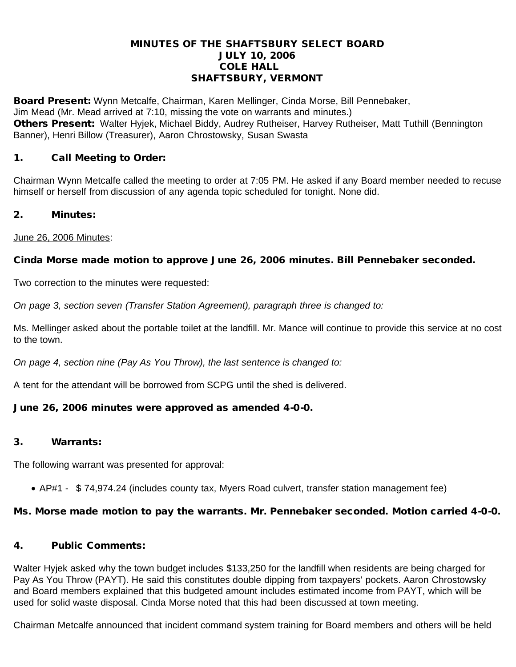#### MINUTES OF THE SHAFTSBURY SELECT BOARD JULY 10, 2006 COLE HALL SHAFTSBURY, VERMONT

Board Present: Wynn Metcalfe, Chairman, Karen Mellinger, Cinda Morse, Bill Pennebaker, Jim Mead (Mr. Mead arrived at 7:10, missing the vote on warrants and minutes.) Others Present: Walter Hyjek, Michael Biddy, Audrey Rutheiser, Harvey Rutheiser, Matt Tuthill (Bennington Banner), Henri Billow (Treasurer), Aaron Chrostowsky, Susan Swasta

### 1. Call Meeting to Order:

Chairman Wynn Metcalfe called the meeting to order at 7:05 PM. He asked if any Board member needed to recuse himself or herself from discussion of any agenda topic scheduled for tonight. None did.

### 2. Minutes:

June 26, 2006 Minutes:

## Cinda Morse made motion to approve June 26, 2006 minutes. Bill Pennebaker seconded.

Two correction to the minutes were requested:

*On page 3, section seven (Transfer Station Agreement), paragraph three is changed to:*

Ms. Mellinger asked about the portable toilet at the landfill. Mr. Mance will continue to provide this service at no cost to the town.

*On page 4, section nine (Pay As You Throw), the last sentence is changed to:*

A tent for the attendant will be borrowed from SCPG until the shed is delivered.

# June 26, 2006 minutes were approved as amended 4-0-0.

### 3. Warrants:

The following warrant was presented for approval:

· AP#1 - \$ 74,974.24 (includes county tax, Myers Road culvert, transfer station management fee)

### Ms. Morse made motion to pay the warrants. Mr. Pennebaker seconded. Motion carried 4-0-0.

### 4. Public Comments:

Walter Hyjek asked why the town budget includes \$133,250 for the landfill when residents are being charged for Pay As You Throw (PAYT). He said this constitutes double dipping from taxpayers' pockets. Aaron Chrostowsky and Board members explained that this budgeted amount includes estimated income from PAYT, which will be used for solid waste disposal. Cinda Morse noted that this had been discussed at town meeting.

Chairman Metcalfe announced that incident command system training for Board members and others will be held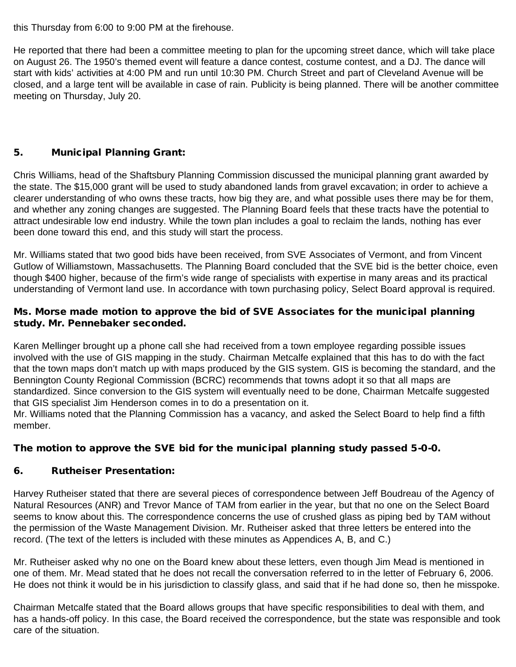this Thursday from 6:00 to 9:00 PM at the firehouse.

He reported that there had been a committee meeting to plan for the upcoming street dance, which will take place on August 26. The 1950's themed event will feature a dance contest, costume contest, and a DJ. The dance will start with kids' activities at 4:00 PM and run until 10:30 PM. Church Street and part of Cleveland Avenue will be closed, and a large tent will be available in case of rain. Publicity is being planned. There will be another committee meeting on Thursday, July 20.

# 5. Municipal Planning Grant:

Chris Williams, head of the Shaftsbury Planning Commission discussed the municipal planning grant awarded by the state. The \$15,000 grant will be used to study abandoned lands from gravel excavation; in order to achieve a clearer understanding of who owns these tracts, how big they are, and what possible uses there may be for them, and whether any zoning changes are suggested. The Planning Board feels that these tracts have the potential to attract undesirable low end industry. While the town plan includes a goal to reclaim the lands, nothing has ever been done toward this end, and this study will start the process.

Mr. Williams stated that two good bids have been received, from SVE Associates of Vermont, and from Vincent Gutlow of Williamstown, Massachusetts. The Planning Board concluded that the SVE bid is the better choice, even though \$400 higher, because of the firm's wide range of specialists with expertise in many areas and its practical understanding of Vermont land use. In accordance with town purchasing policy, Select Board approval is required.

### Ms. Morse made motion to approve the bid of SVE Associates for the municipal planning study. Mr. Pennebaker seconded.

Karen Mellinger brought up a phone call she had received from a town employee regarding possible issues involved with the use of GIS mapping in the study. Chairman Metcalfe explained that this has to do with the fact that the town maps don't match up with maps produced by the GIS system. GIS is becoming the standard, and the Bennington County Regional Commission (BCRC) recommends that towns adopt it so that all maps are standardized. Since conversion to the GIS system will eventually need to be done, Chairman Metcalfe suggested that GIS specialist Jim Henderson comes in to do a presentation on it.

Mr. Williams noted that the Planning Commission has a vacancy, and asked the Select Board to help find a fifth member.

# The motion to approve the SVE bid for the municipal planning study passed 5-0-0.

### 6. Rutheiser Presentation:

Harvey Rutheiser stated that there are several pieces of correspondence between Jeff Boudreau of the Agency of Natural Resources (ANR) and Trevor Mance of TAM from earlier in the year, but that no one on the Select Board seems to know about this. The correspondence concerns the use of crushed glass as piping bed by TAM without the permission of the Waste Management Division. Mr. Rutheiser asked that three letters be entered into the record. (The text of the letters is included with these minutes as Appendices A, B, and C.)

Mr. Rutheiser asked why no one on the Board knew about these letters, even though Jim Mead is mentioned in one of them. Mr. Mead stated that he does not recall the conversation referred to in the letter of February 6, 2006. He does not think it would be in his jurisdiction to classify glass, and said that if he had done so, then he misspoke.

Chairman Metcalfe stated that the Board allows groups that have specific responsibilities to deal with them, and has a hands-off policy. In this case, the Board received the correspondence, but the state was responsible and took care of the situation.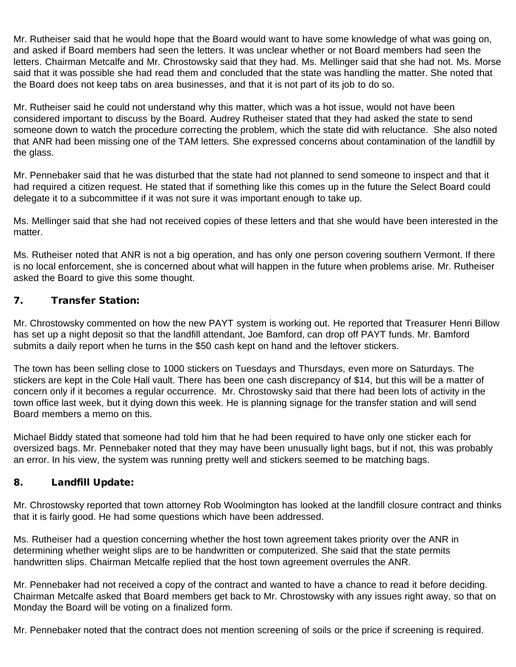Mr. Rutheiser said that he would hope that the Board would want to have some knowledge of what was going on, and asked if Board members had seen the letters. It was unclear whether or not Board members had seen the letters. Chairman Metcalfe and Mr. Chrostowsky said that they had. Ms. Mellinger said that she had not. Ms. Morse said that it was possible she had read them and concluded that the state was handling the matter. She noted that the Board does not keep tabs on area businesses, and that it is not part of its job to do so.

Mr. Rutheiser said he could not understand why this matter, which was a hot issue, would not have been considered important to discuss by the Board. Audrey Rutheiser stated that they had asked the state to send someone down to watch the procedure correcting the problem, which the state did with reluctance. She also noted that ANR had been missing one of the TAM letters. She expressed concerns about contamination of the landfill by the glass.

Mr. Pennebaker said that he was disturbed that the state had not planned to send someone to inspect and that it had required a citizen request. He stated that if something like this comes up in the future the Select Board could delegate it to a subcommittee if it was not sure it was important enough to take up.

Ms. Mellinger said that she had not received copies of these letters and that she would have been interested in the matter.

Ms. Rutheiser noted that ANR is not a big operation, and has only one person covering southern Vermont. If there is no local enforcement, she is concerned about what will happen in the future when problems arise. Mr. Rutheiser asked the Board to give this some thought.

## 7. Transfer Station:

Mr. Chrostowsky commented on how the new PAYT system is working out. He reported that Treasurer Henri Billow has set up a night deposit so that the landfill attendant, Joe Bamford, can drop off PAYT funds. Mr. Bamford submits a daily report when he turns in the \$50 cash kept on hand and the leftover stickers.

The town has been selling close to 1000 stickers on Tuesdays and Thursdays, even more on Saturdays. The stickers are kept in the Cole Hall vault. There has been one cash discrepancy of \$14, but this will be a matter of concern only if it becomes a regular occurrence. Mr. Chrostowsky said that there had been lots of activity in the town office last week, but it dying down this week. He is planning signage for the transfer station and will send Board members a memo on this.

Michael Biddy stated that someone had told him that he had been required to have only one sticker each for oversized bags. Mr. Pennebaker noted that they may have been unusually light bags, but if not, this was probably an error. In his view, the system was running pretty well and stickers seemed to be matching bags.

### 8. Landfill Update:

Mr. Chrostowsky reported that town attorney Rob Woolmington has looked at the landfill closure contract and thinks that it is fairly good. He had some questions which have been addressed.

Ms. Rutheiser had a question concerning whether the host town agreement takes priority over the ANR in determining whether weight slips are to be handwritten or computerized. She said that the state permits handwritten slips. Chairman Metcalfe replied that the host town agreement overrules the ANR.

Mr. Pennebaker had not received a copy of the contract and wanted to have a chance to read it before deciding. Chairman Metcalfe asked that Board members get back to Mr. Chrostowsky with any issues right away, so that on Monday the Board will be voting on a finalized form.

Mr. Pennebaker noted that the contract does not mention screening of soils or the price if screening is required.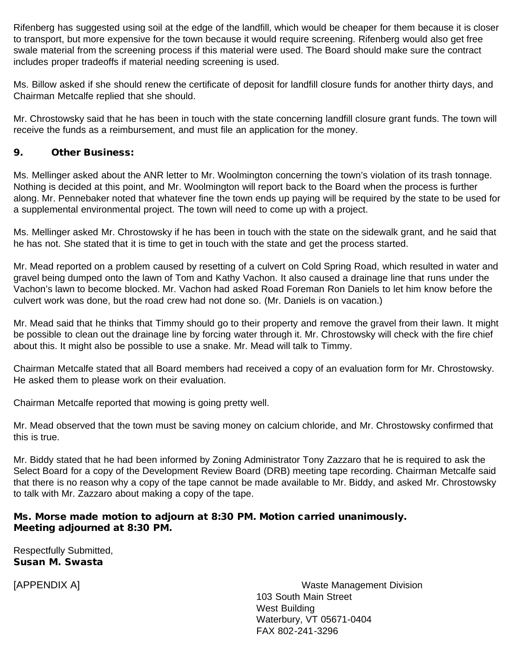Rifenberg has suggested using soil at the edge of the landfill, which would be cheaper for them because it is closer to transport, but more expensive for the town because it would require screening. Rifenberg would also get free swale material from the screening process if this material were used. The Board should make sure the contract includes proper tradeoffs if material needing screening is used.

Ms. Billow asked if she should renew the certificate of deposit for landfill closure funds for another thirty days, and Chairman Metcalfe replied that she should.

Mr. Chrostowsky said that he has been in touch with the state concerning landfill closure grant funds. The town will receive the funds as a reimbursement, and must file an application for the money.

#### 9. Other Business:

Ms. Mellinger asked about the ANR letter to Mr. Woolmington concerning the town's violation of its trash tonnage. Nothing is decided at this point, and Mr. Woolmington will report back to the Board when the process is further along. Mr. Pennebaker noted that whatever fine the town ends up paying will be required by the state to be used for a supplemental environmental project. The town will need to come up with a project.

Ms. Mellinger asked Mr. Chrostowsky if he has been in touch with the state on the sidewalk grant, and he said that he has not. She stated that it is time to get in touch with the state and get the process started.

Mr. Mead reported on a problem caused by resetting of a culvert on Cold Spring Road, which resulted in water and gravel being dumped onto the lawn of Tom and Kathy Vachon. It also caused a drainage line that runs under the Vachon's lawn to become blocked. Mr. Vachon had asked Road Foreman Ron Daniels to let him know before the culvert work was done, but the road crew had not done so. (Mr. Daniels is on vacation.)

Mr. Mead said that he thinks that Timmy should go to their property and remove the gravel from their lawn. It might be possible to clean out the drainage line by forcing water through it. Mr. Chrostowsky will check with the fire chief about this. It might also be possible to use a snake. Mr. Mead will talk to Timmy.

Chairman Metcalfe stated that all Board members had received a copy of an evaluation form for Mr. Chrostowsky. He asked them to please work on their evaluation.

Chairman Metcalfe reported that mowing is going pretty well.

Mr. Mead observed that the town must be saving money on calcium chloride, and Mr. Chrostowsky confirmed that this is true.

Mr. Biddy stated that he had been informed by Zoning Administrator Tony Zazzaro that he is required to ask the Select Board for a copy of the Development Review Board (DRB) meeting tape recording. Chairman Metcalfe said that there is no reason why a copy of the tape cannot be made available to Mr. Biddy, and asked Mr. Chrostowsky to talk with Mr. Zazzaro about making a copy of the tape.

#### Ms. Morse made motion to adjourn at 8:30 PM. Motion carried unanimously. Meeting adjourned at 8:30 PM.

Respectfully Submitted, Susan M. Swasta

[APPENDIX A] Waste Management Division 103 South Main Street West Building Waterbury, VT 05671-0404 FAX 802-241-3296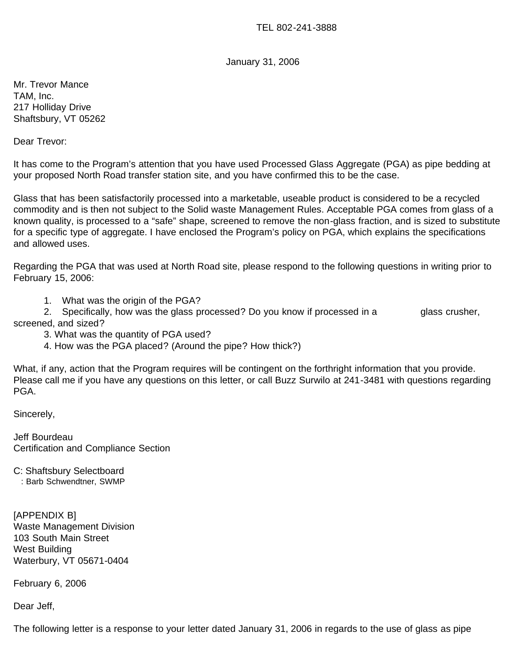TEL 802-241-3888

January 31, 2006

Mr. Trevor Mance TAM, Inc. 217 Holliday Drive Shaftsbury, VT 05262

Dear Trevor:

It has come to the Program's attention that you have used Processed Glass Aggregate (PGA) as pipe bedding at your proposed North Road transfer station site, and you have confirmed this to be the case.

Glass that has been satisfactorily processed into a marketable, useable product is considered to be a recycled commodity and is then not subject to the Solid waste Management Rules. Acceptable PGA comes from glass of a known quality, is processed to a "safe" shape, screened to remove the non-glass fraction, and is sized to substitute for a specific type of aggregate. I have enclosed the Program's policy on PGA, which explains the specifications and allowed uses.

Regarding the PGA that was used at North Road site, please respond to the following questions in writing prior to February 15, 2006:

1. What was the origin of the PGA?

 2. Specifically, how was the glass processed? Do you know if processed in a glass crusher, screened, and sized?

- 3. What was the quantity of PGA used?
- 4. How was the PGA placed? (Around the pipe? How thick?)

What, if any, action that the Program requires will be contingent on the forthright information that you provide. Please call me if you have any questions on this letter, or call Buzz Surwilo at 241-3481 with questions regarding PGA.

Sincerely,

Jeff Bourdeau Certification and Compliance Section

C: Shaftsbury Selectboard

: Barb Schwendtner, SWMP

[APPENDIX B] Waste Management Division 103 South Main Street West Building Waterbury, VT 05671-0404

February 6, 2006

Dear Jeff,

The following letter is a response to your letter dated January 31, 2006 in regards to the use of glass as pipe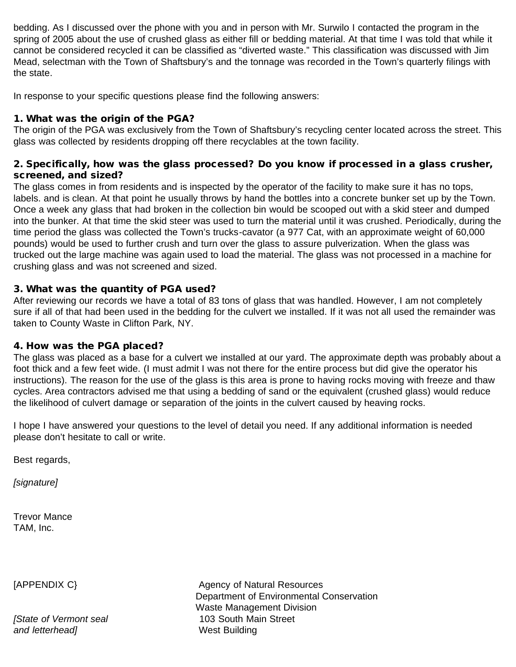bedding. As I discussed over the phone with you and in person with Mr. Surwilo I contacted the program in the spring of 2005 about the use of crushed glass as either fill or bedding material. At that time I was told that while it cannot be considered recycled it can be classified as "diverted waste." This classification was discussed with Jim Mead, selectman with the Town of Shaftsbury's and the tonnage was recorded in the Town's quarterly filings with the state.

In response to your specific questions please find the following answers:

### 1. What was the origin of the PGA?

The origin of the PGA was exclusively from the Town of Shaftsbury's recycling center located across the street. This glass was collected by residents dropping off there recyclables at the town facility.

### 2. Specifically, how was the glass processed? Do you know if processed in a glass crusher, screened, and sized?

The glass comes in from residents and is inspected by the operator of the facility to make sure it has no tops, labels. and is clean. At that point he usually throws by hand the bottles into a concrete bunker set up by the Town. Once a week any glass that had broken in the collection bin would be scooped out with a skid steer and dumped into the bunker. At that time the skid steer was used to turn the material until it was crushed. Periodically, during the time period the glass was collected the Town's trucks-cavator (a 977 Cat, with an approximate weight of 60,000 pounds) would be used to further crush and turn over the glass to assure pulverization. When the glass was trucked out the large machine was again used to load the material. The glass was not processed in a machine for crushing glass and was not screened and sized.

## 3. What was the quantity of PGA used?

After reviewing our records we have a total of 83 tons of glass that was handled. However, I am not completely sure if all of that had been used in the bedding for the culvert we installed. If it was not all used the remainder was taken to County Waste in Clifton Park, NY.

### 4. How was the PGA placed?

The glass was placed as a base for a culvert we installed at our yard. The approximate depth was probably about a foot thick and a few feet wide. (I must admit I was not there for the entire process but did give the operator his instructions). The reason for the use of the glass is this area is prone to having rocks moving with freeze and thaw cycles. Area contractors advised me that using a bedding of sand or the equivalent (crushed glass) would reduce the likelihood of culvert damage or separation of the joints in the culvert caused by heaving rocks.

I hope I have answered your questions to the level of detail you need. If any additional information is needed please don't hesitate to call or write.

Best regards,

*[signature]*

Trevor Mance TAM, Inc.

*[State of Vermont seal* 103 South Main Street *and letterhead]* West Building

[APPENDIX C] Agency of Natural Resources Department of Environmental Conservation Waste Management Division